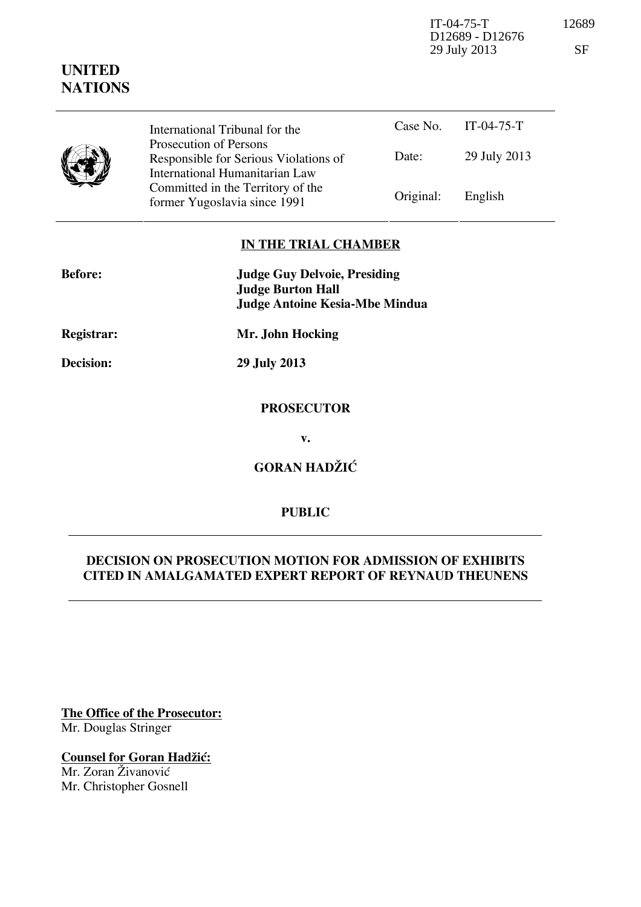IT-04-75-T 12689 D12689 - D12676 29 July 2013 SF

|  | International Tribunal for the<br>Prosecution of Persons                |           | Case No. IT-04-75-T |
|--|-------------------------------------------------------------------------|-----------|---------------------|
|  | Responsible for Serious Violations of<br>International Humanitarian Law | Date:     | 29 July 2013        |
|  | Committed in the Territory of the<br>former Yugoslavia since 1991       | Original: | English             |

# **IN THE TRIAL CHAMBER**

| <b>Before:</b> | <b>Judge Guy Delvoie, Presiding</b><br><b>Judge Burton Hall</b><br><b>Judge Antoine Kesia-Mbe Mindua</b> |
|----------------|----------------------------------------------------------------------------------------------------------|
| Registrar:     | Mr. John Hocking                                                                                         |
| Decision:      | 29 July 2013                                                                                             |
|                | <b>PROSECUTOR</b>                                                                                        |
|                | v.                                                                                                       |

**GORAN HADŽIĆ** 

### **PUBLIC**

## **DECISION ON PROSECUTION MOTION FOR ADMISSION OF EXHIBITS CITED IN AMALGAMATED EXPERT REPORT OF REYNAUD THEUNENS**

**The Office of the Prosecutor:** Mr. Douglas Stringer

**Counsel for Goran Hadžić:** Mr. Zoran Živanović Mr. Christopher Gosnell

# **UNITED NATIONS**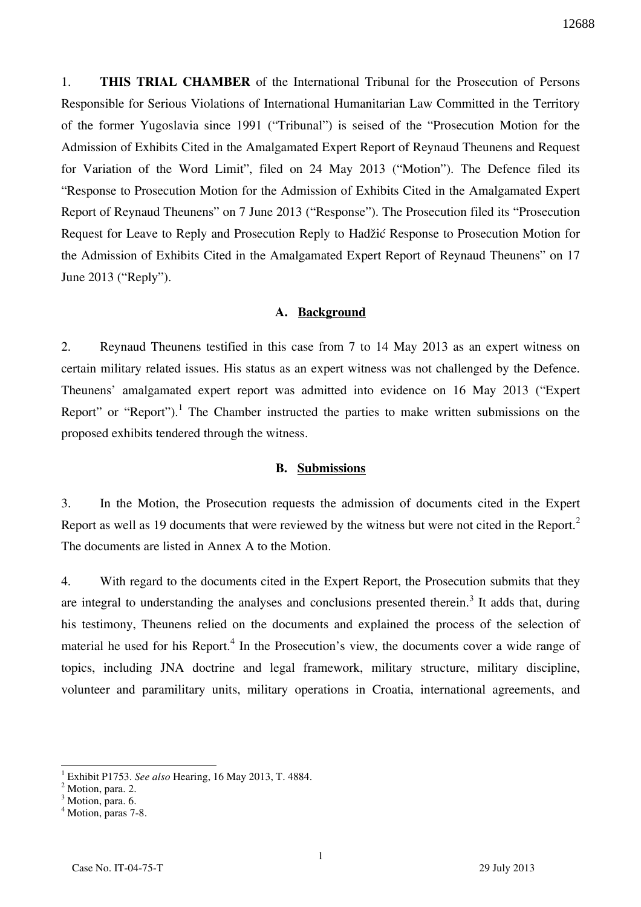1. **THIS TRIAL CHAMBER** of the International Tribunal for the Prosecution of Persons Responsible for Serious Violations of International Humanitarian Law Committed in the Territory of the former Yugoslavia since 1991 ("Tribunal") is seised of the "Prosecution Motion for the Admission of Exhibits Cited in the Amalgamated Expert Report of Reynaud Theunens and Request for Variation of the Word Limit", filed on 24 May 2013 ("Motion"). The Defence filed its "Response to Prosecution Motion for the Admission of Exhibits Cited in the Amalgamated Expert Report of Reynaud Theunens" on 7 June 2013 ("Response"). The Prosecution filed its "Prosecution Request for Leave to Reply and Prosecution Reply to Hadžić Response to Prosecution Motion for the Admission of Exhibits Cited in the Amalgamated Expert Report of Reynaud Theunens" on 17 June 2013 ("Reply").

### **A. Background**

2. Reynaud Theunens testified in this case from 7 to 14 May 2013 as an expert witness on certain military related issues. His status as an expert witness was not challenged by the Defence. Theunens' amalgamated expert report was admitted into evidence on 16 May 2013 ("Expert Report" or "Report").<sup>1</sup> The Chamber instructed the parties to make written submissions on the proposed exhibits tendered through the witness.

#### **B. Submissions**

3. In the Motion, the Prosecution requests the admission of documents cited in the Expert Report as well as 19 documents that were reviewed by the witness but were not cited in the Report.<sup>2</sup> The documents are listed in Annex A to the Motion.

4. With regard to the documents cited in the Expert Report, the Prosecution submits that they are integral to understanding the analyses and conclusions presented therein.<sup>3</sup> It adds that, during his testimony, Theunens relied on the documents and explained the process of the selection of material he used for his Report.<sup>4</sup> In the Prosecution's view, the documents cover a wide range of topics, including JNA doctrine and legal framework, military structure, military discipline, volunteer and paramilitary units, military operations in Croatia, international agreements, and

<sup>1</sup> Exhibit P1753. *See also* Hearing, 16 May 2013, T. 4884.

 $<sup>2</sup>$  Motion, para. 2.</sup>

<sup>&</sup>lt;sup>3</sup> Motion, para. 6.

<sup>4</sup> Motion, paras 7-8.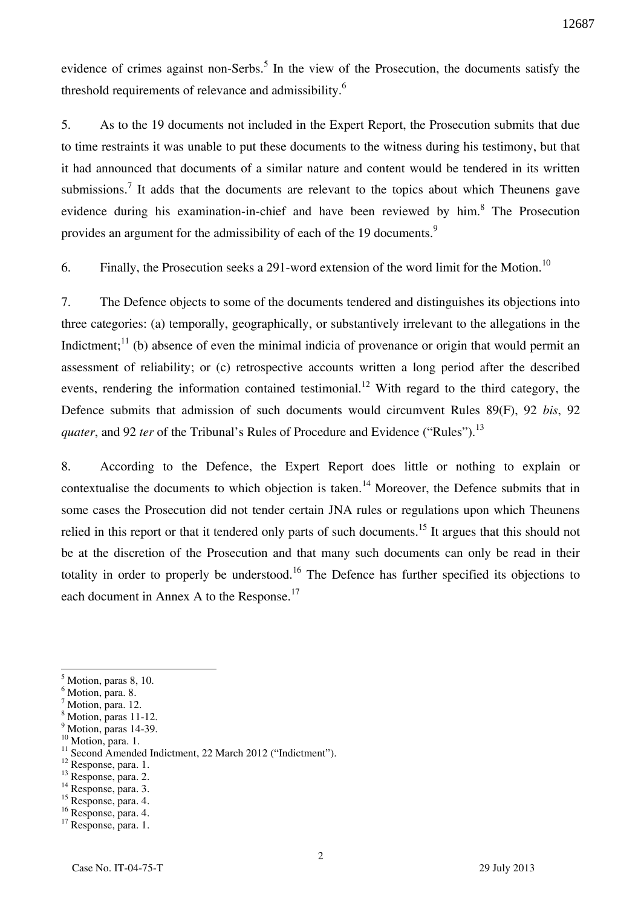evidence of crimes against non-Serbs.<sup>5</sup> In the view of the Prosecution, the documents satisfy the threshold requirements of relevance and admissibility.<sup>6</sup>

5. As to the 19 documents not included in the Expert Report, the Prosecution submits that due to time restraints it was unable to put these documents to the witness during his testimony, but that it had announced that documents of a similar nature and content would be tendered in its written submissions.<sup>7</sup> It adds that the documents are relevant to the topics about which Theunens gave evidence during his examination-in-chief and have been reviewed by him.<sup>8</sup> The Prosecution provides an argument for the admissibility of each of the 19 documents.<sup>9</sup>

6. Finally, the Prosecution seeks a 291-word extension of the word limit for the Motion.<sup>10</sup>

7. The Defence objects to some of the documents tendered and distinguishes its objections into three categories: (a) temporally, geographically, or substantively irrelevant to the allegations in the Indictment;<sup>11</sup> (b) absence of even the minimal indicia of provenance or origin that would permit an assessment of reliability; or (c) retrospective accounts written a long period after the described events, rendering the information contained testimonial.<sup>12</sup> With regard to the third category, the Defence submits that admission of such documents would circumvent Rules 89(F), 92 *bis*, 92 *quater*, and 92 *ter* of the Tribunal's Rules of Procedure and Evidence ("Rules").<sup>13</sup>

8. According to the Defence, the Expert Report does little or nothing to explain or contextualise the documents to which objection is taken.<sup>14</sup> Moreover, the Defence submits that in some cases the Prosecution did not tender certain JNA rules or regulations upon which Theunens relied in this report or that it tendered only parts of such documents.<sup>15</sup> It argues that this should not be at the discretion of the Prosecution and that many such documents can only be read in their totality in order to properly be understood.<sup>16</sup> The Defence has further specified its objections to each document in Annex A to the Response.<sup>17</sup>

 $<sup>5</sup>$  Motion, paras 8, 10.</sup>

<sup>6</sup> Motion, para. 8.

<sup>&</sup>lt;sup>7</sup> Motion, para. 12.

<sup>8</sup> Motion, paras 11-12. <sup>9</sup> Motion, paras 14-39.

<sup>&</sup>lt;sup>10</sup> Motion, para. 1.

<sup>&</sup>lt;sup>11</sup> Second Amended Indictment, 22 March 2012 ("Indictment").

<sup>&</sup>lt;sup>12</sup> Response, para. 1.

<sup>&</sup>lt;sup>13</sup> Response, para. 2.

<sup>&</sup>lt;sup>14</sup> Response, para. 3. <sup>15</sup> Response, para. 4.

<sup>16</sup> Response, para. 4.

<sup>&</sup>lt;sup>17</sup> Response, para. 1.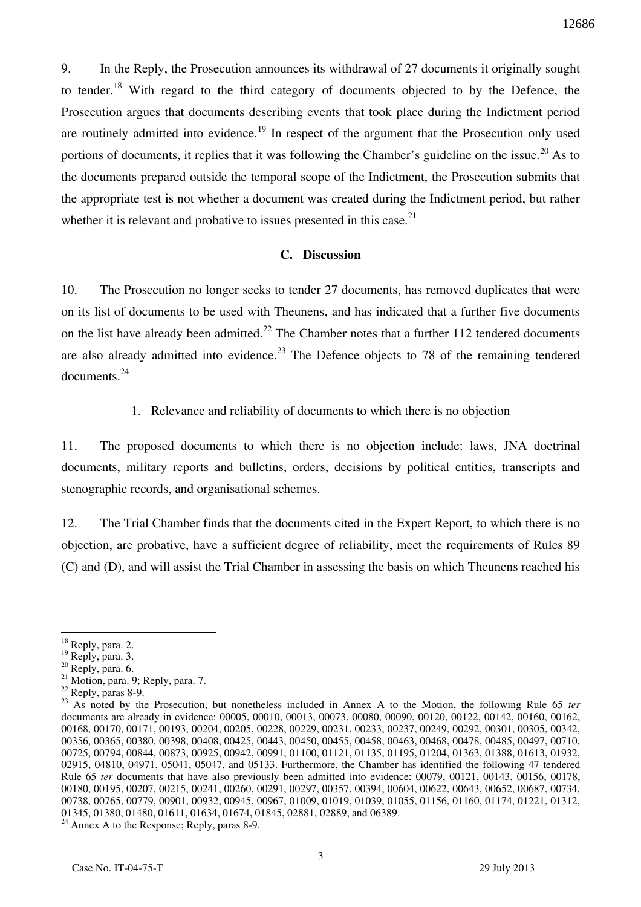9. In the Reply, the Prosecution announces its withdrawal of 27 documents it originally sought to tender.<sup>18</sup> With regard to the third category of documents objected to by the Defence, the Prosecution argues that documents describing events that took place during the Indictment period are routinely admitted into evidence.<sup>19</sup> In respect of the argument that the Prosecution only used portions of documents, it replies that it was following the Chamber's guideline on the issue.<sup>20</sup> As to the documents prepared outside the temporal scope of the Indictment, the Prosecution submits that the appropriate test is not whether a document was created during the Indictment period, but rather whether it is relevant and probative to issues presented in this case. $2<sup>1</sup>$ 

### **C. Discussion**

10. The Prosecution no longer seeks to tender 27 documents, has removed duplicates that were on its list of documents to be used with Theunens, and has indicated that a further five documents on the list have already been admitted.<sup>22</sup> The Chamber notes that a further 112 tendered documents are also already admitted into evidence.<sup>23</sup> The Defence objects to 78 of the remaining tendered documents. $^{24}$ 

### 1. Relevance and reliability of documents to which there is no objection

11. The proposed documents to which there is no objection include: laws, JNA doctrinal documents, military reports and bulletins, orders, decisions by political entities, transcripts and stenographic records, and organisational schemes.

12. The Trial Chamber finds that the documents cited in the Expert Report, to which there is no objection, are probative, have a sufficient degree of reliability, meet the requirements of Rules 89 (C) and (D), and will assist the Trial Chamber in assessing the basis on which Theunens reached his

 $18$  Reply, para. 2.

 $^{19}$  Reply, para. 3.

 $20$  Reply, para. 6.

 $^{21}$  Motion, para. 9; Reply, para. 7.

 $22$  Reply, paras 8-9.

<sup>&</sup>lt;sup>23</sup> As noted by the Prosecution, but nonetheless included in Annex A to the Motion, the following Rule 65 *ter* documents are already in evidence: 00005, 00010, 00013, 00073, 00080, 00090, 00120, 00122, 00142, 00160, 00162, 00168, 00170, 00171, 00193, 00204, 00205, 00228, 00229, 00231, 00233, 00237, 00249, 00292, 00301, 00305, 00342, 00356, 00365, 00380, 00398, 00408, 00425, 00443, 00450, 00455, 00458, 00463, 00468, 00478, 00485, 00497, 00710, 00725, 00794, 00844, 00873, 00925, 00942, 00991, 01100, 01121, 01135, 01195, 01204, 01363, 01388, 01613, 01932, 02915, 04810, 04971, 05041, 05047, and 05133. Furthermore, the Chamber has identified the following 47 tendered Rule 65 *ter* documents that have also previously been admitted into evidence: 00079, 00121, 00143, 00156, 00178, 00180, 00195, 00207, 00215, 00241, 00260, 00291, 00297, 00357, 00394, 00604, 00622, 00643, 00652, 00687, 00734, 00738, 00765, 00779, 00901, 00932, 00945, 00967, 01009, 01019, 01039, 01055, 01156, 01160, 01174, 01221, 01312, 01345, 01380, 01480, 01611, 01634, 01674, 01845, 02881, 02889, and 06389.

 $24$  Annex A to the Response; Reply, paras 8-9.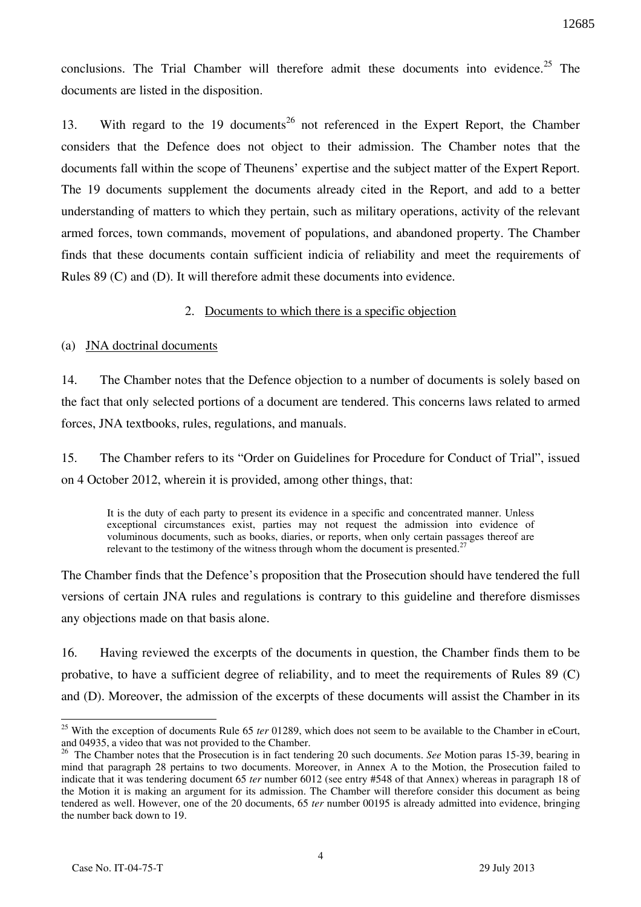conclusions. The Trial Chamber will therefore admit these documents into evidence.<sup>25</sup> The documents are listed in the disposition.

13. With regard to the 19 documents<sup>26</sup> not referenced in the Expert Report, the Chamber considers that the Defence does not object to their admission. The Chamber notes that the documents fall within the scope of Theunens' expertise and the subject matter of the Expert Report. The 19 documents supplement the documents already cited in the Report, and add to a better understanding of matters to which they pertain, such as military operations, activity of the relevant armed forces, town commands, movement of populations, and abandoned property. The Chamber finds that these documents contain sufficient indicia of reliability and meet the requirements of Rules 89 (C) and (D). It will therefore admit these documents into evidence.

### 2. Documents to which there is a specific objection

### (a) JNA doctrinal documents

14. The Chamber notes that the Defence objection to a number of documents is solely based on the fact that only selected portions of a document are tendered. This concerns laws related to armed forces, JNA textbooks, rules, regulations, and manuals.

15. The Chamber refers to its "Order on Guidelines for Procedure for Conduct of Trial", issued on 4 October 2012, wherein it is provided, among other things, that:

It is the duty of each party to present its evidence in a specific and concentrated manner. Unless exceptional circumstances exist, parties may not request the admission into evidence of voluminous documents, such as books, diaries, or reports, when only certain passages thereof are relevant to the testimony of the witness through whom the document is presented.<sup>27</sup>

The Chamber finds that the Defence's proposition that the Prosecution should have tendered the full versions of certain JNA rules and regulations is contrary to this guideline and therefore dismisses any objections made on that basis alone.

16. Having reviewed the excerpts of the documents in question, the Chamber finds them to be probative, to have a sufficient degree of reliability, and to meet the requirements of Rules 89 (C) and (D). Moreover, the admission of the excerpts of these documents will assist the Chamber in its

<sup>&</sup>lt;sup>25</sup> With the exception of documents Rule 65 *ter* 01289, which does not seem to be available to the Chamber in eCourt, and 04935, a video that was not provided to the Chamber.

<sup>&</sup>lt;sup>26</sup> The Chamber notes that the Prosecution is in fact tendering 20 such documents. *See* Motion paras 15-39, bearing in mind that paragraph 28 pertains to two documents. Moreover, in Annex A to the Motion, the Prosecution failed to indicate that it was tendering document 65 *ter* number 6012 (see entry #548 of that Annex) whereas in paragraph 18 of the Motion it is making an argument for its admission. The Chamber will therefore consider this document as being tendered as well. However, one of the 20 documents, 65 *ter* number 00195 is already admitted into evidence, bringing the number back down to 19.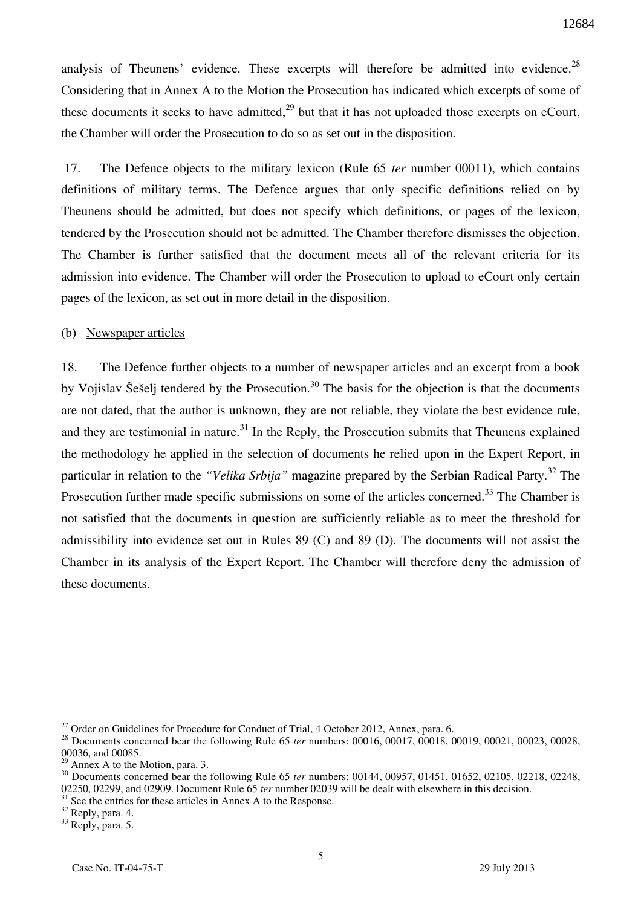analysis of Theunens' evidence. These excerpts will therefore be admitted into evidence.<sup>28</sup> Considering that in Annex A to the Motion the Prosecution has indicated which excerpts of some of these documents it seeks to have admitted,<sup>29</sup> but that it has not uploaded those excerpts on eCourt, the Chamber will order the Prosecution to do so as set out in the disposition.

 17. The Defence objects to the military lexicon (Rule 65 *ter* number 00011), which contains definitions of military terms. The Defence argues that only specific definitions relied on by Theunens should be admitted, but does not specify which definitions, or pages of the lexicon, tendered by the Prosecution should not be admitted. The Chamber therefore dismisses the objection. The Chamber is further satisfied that the document meets all of the relevant criteria for its admission into evidence. The Chamber will order the Prosecution to upload to eCourt only certain pages of the lexicon, as set out in more detail in the disposition.

#### (b) Newspaper articles

18. The Defence further objects to a number of newspaper articles and an excerpt from a book by Vojislav Šešelj tendered by the Prosecution.<sup>30</sup> The basis for the objection is that the documents are not dated, that the author is unknown, they are not reliable, they violate the best evidence rule, and they are testimonial in nature.<sup>31</sup> In the Reply, the Prosecution submits that Theunens explained the methodology he applied in the selection of documents he relied upon in the Expert Report, in particular in relation to the *"Velika Srbija"* magazine prepared by the Serbian Radical Party.<sup>32</sup> The Prosecution further made specific submissions on some of the articles concerned.<sup>33</sup> The Chamber is not satisfied that the documents in question are sufficiently reliable as to meet the threshold for admissibility into evidence set out in Rules 89 (C) and 89 (D). The documents will not assist the Chamber in its analysis of the Expert Report. The Chamber will therefore deny the admission of these documents.

 $^{27}$  Order on Guidelines for Procedure for Conduct of Trial, 4 October 2012, Annex, para. 6.

<sup>28</sup> Documents concerned bear the following Rule 65 *ter* numbers: 00016, 00017, 00018, 00019, 00021, 00023, 00028, 00036, and 00085.

Annex A to the Motion, para.  $3.$ 

<sup>&</sup>lt;sup>30</sup> Documents concerned bear the following Rule 65 *ter* numbers: 00144, 00957, 01451, 01652, 02105, 02218, 02248, 02250, 02299, and 02909. Document Rule 65 *ter* number 02039 will be dealt with elsewhere in this decision.

<sup>&</sup>lt;sup>31</sup> See the entries for these articles in Annex A to the Response.

<sup>&</sup>lt;sup>32</sup> Reply, para. 4.

 $33$  Reply, para. 5.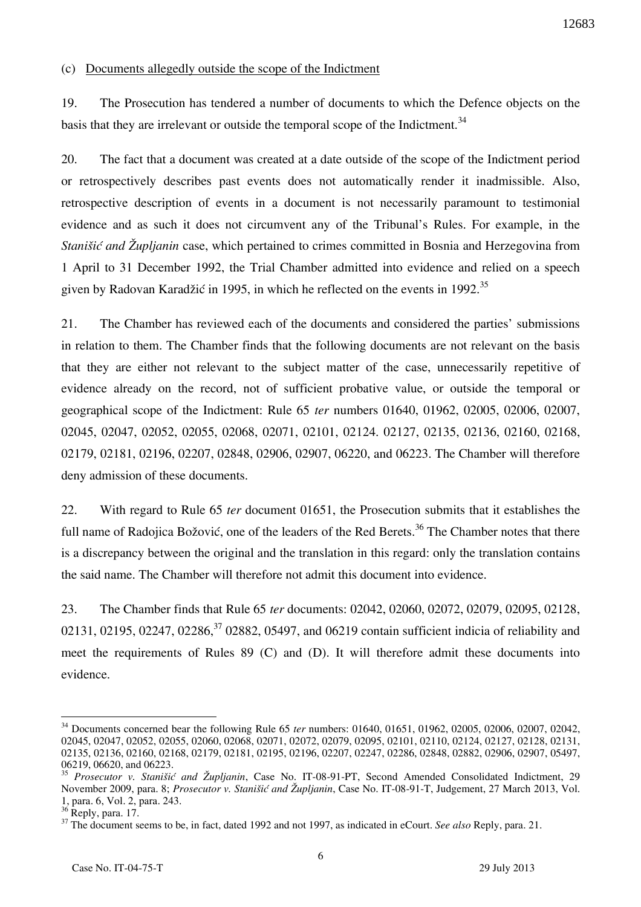(c) Documents allegedly outside the scope of the Indictment

19. The Prosecution has tendered a number of documents to which the Defence objects on the basis that they are irrelevant or outside the temporal scope of the Indictment.<sup>34</sup>

20. The fact that a document was created at a date outside of the scope of the Indictment period or retrospectively describes past events does not automatically render it inadmissible. Also, retrospective description of events in a document is not necessarily paramount to testimonial evidence and as such it does not circumvent any of the Tribunal's Rules. For example, in the *Stanišić and Župljanin* case, which pertained to crimes committed in Bosnia and Herzegovina from 1 April to 31 December 1992, the Trial Chamber admitted into evidence and relied on a speech given by Radovan Karadžić in 1995, in which he reflected on the events in 1992.<sup>35</sup>

21. The Chamber has reviewed each of the documents and considered the parties' submissions in relation to them. The Chamber finds that the following documents are not relevant on the basis that they are either not relevant to the subject matter of the case, unnecessarily repetitive of evidence already on the record, not of sufficient probative value, or outside the temporal or geographical scope of the Indictment: Rule 65 *ter* numbers 01640, 01962, 02005, 02006, 02007, 02045, 02047, 02052, 02055, 02068, 02071, 02101, 02124. 02127, 02135, 02136, 02160, 02168, 02179, 02181, 02196, 02207, 02848, 02906, 02907, 06220, and 06223. The Chamber will therefore deny admission of these documents.

22. With regard to Rule 65 *ter* document 01651, the Prosecution submits that it establishes the full name of Radojica Božović, one of the leaders of the Red Berets.<sup>36</sup> The Chamber notes that there is a discrepancy between the original and the translation in this regard: only the translation contains the said name. The Chamber will therefore not admit this document into evidence.

23. The Chamber finds that Rule 65 *ter* documents: 02042, 02060, 02072, 02079, 02095, 02128, 02131, 02195, 02247, 02286,  $37$  02882, 05497, and 06219 contain sufficient indicia of reliability and meet the requirements of Rules 89 (C) and (D). It will therefore admit these documents into evidence.

<sup>34</sup> Documents concerned bear the following Rule 65 *ter* numbers: 01640, 01651, 01962, 02005, 02006, 02007, 02042, 02045, 02047, 02052, 02055, 02060, 02068, 02071, 02072, 02079, 02095, 02101, 02110, 02124, 02127, 02128, 02131, 02135, 02136, 02160, 02168, 02179, 02181, 02195, 02196, 02207, 02247, 02286, 02848, 02882, 02906, 02907, 05497, 06219, 06620, and 06223.

<sup>&</sup>lt;sup>35</sup> *Prosecutor v. Stanišić and Župljanin*, Case No. IT-08-91-PT, Second Amended Consolidated Indictment, 29 November 2009, para. 8; *Prosecutor v. Stani{i} and @upljanin*, Case No. IT-08-91-T, Judgement, 27 March 2013, Vol. 1, para. 6, Vol. 2, para. 243.

 $36$  Reply, para. 17.

<sup>&</sup>lt;sup>37</sup> The document seems to be, in fact, dated 1992 and not 1997, as indicated in eCourt. *See also* Reply, para. 21.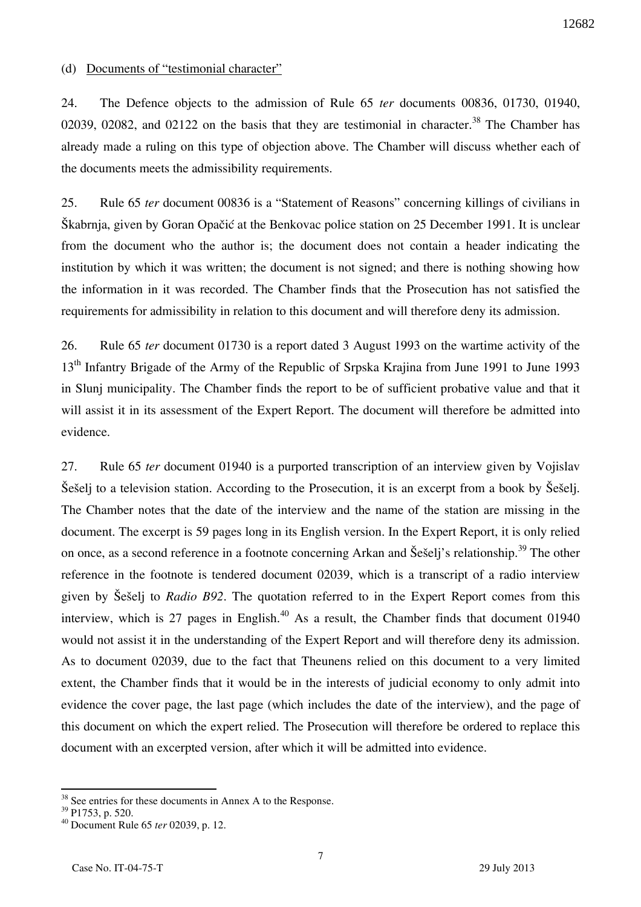### (d) Documents of "testimonial character"

24. The Defence objects to the admission of Rule 65 *ter* documents 00836, 01730, 01940, 02039, 02082, and 02122 on the basis that they are testimonial in character.<sup>38</sup> The Chamber has already made a ruling on this type of objection above. The Chamber will discuss whether each of the documents meets the admissibility requirements.

25. Rule 65 *ter* document 00836 is a "Statement of Reasons" concerning killings of civilians in Škabrnja, given by Goran Opačić at the Benkovac police station on 25 December 1991. It is unclear from the document who the author is; the document does not contain a header indicating the institution by which it was written; the document is not signed; and there is nothing showing how the information in it was recorded. The Chamber finds that the Prosecution has not satisfied the requirements for admissibility in relation to this document and will therefore deny its admission.

26. Rule 65 *ter* document 01730 is a report dated 3 August 1993 on the wartime activity of the 13<sup>th</sup> Infantry Brigade of the Army of the Republic of Srpska Krajina from June 1991 to June 1993 in Slunj municipality. The Chamber finds the report to be of sufficient probative value and that it will assist it in its assessment of the Expert Report. The document will therefore be admitted into evidence.

27. Rule 65 *ter* document 01940 is a purported transcription of an interview given by Vojislav Sešelj to a television station. According to the Prosecution, it is an excerpt from a book by Sešelj. The Chamber notes that the date of the interview and the name of the station are missing in the document. The excerpt is 59 pages long in its English version. In the Expert Report, it is only relied on once, as a second reference in a footnote concerning Arkan and Šešelj's relationship.<sup>39</sup> The other reference in the footnote is tendered document 02039, which is a transcript of a radio interview given by Seseli to *Radio B92*. The quotation referred to in the Expert Report comes from this interview, which is 27 pages in English.<sup>40</sup> As a result, the Chamber finds that document  $01940$ would not assist it in the understanding of the Expert Report and will therefore deny its admission. As to document 02039, due to the fact that Theunens relied on this document to a very limited extent, the Chamber finds that it would be in the interests of judicial economy to only admit into evidence the cover page, the last page (which includes the date of the interview), and the page of this document on which the expert relied. The Prosecution will therefore be ordered to replace this document with an excerpted version, after which it will be admitted into evidence.

 $38$  See entries for these documents in Annex A to the Response.

 $39$  P1753, p. 520.

<sup>40</sup> Document Rule 65 *ter* 02039, p. 12.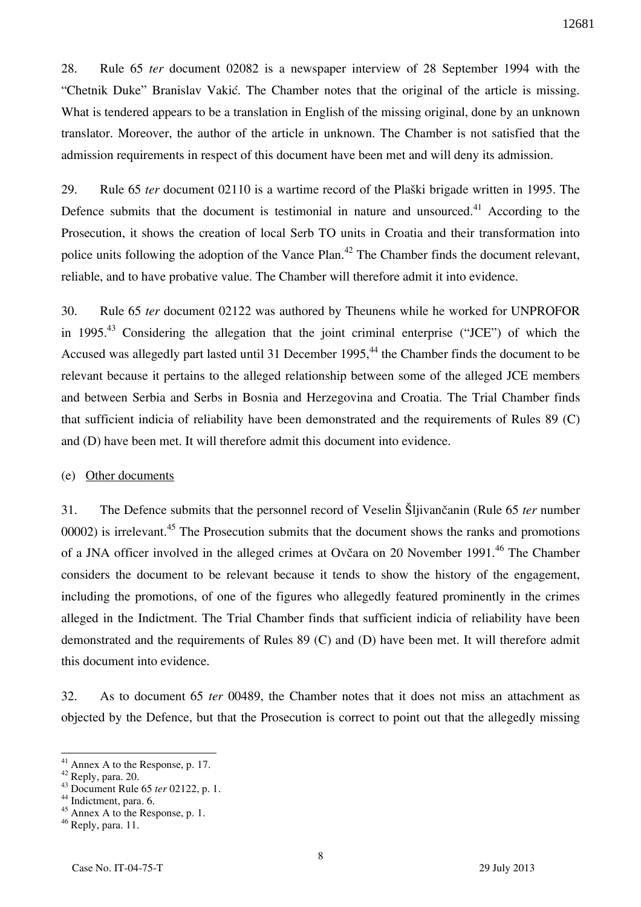28. Rule 65 *ter* document 02082 is a newspaper interview of 28 September 1994 with the "Chetnik Duke" Branislav Vakić. The Chamber notes that the original of the article is missing. What is tendered appears to be a translation in English of the missing original, done by an unknown translator. Moreover, the author of the article in unknown. The Chamber is not satisfied that the admission requirements in respect of this document have been met and will deny its admission.

29. Rule 65 *ter* document 02110 is a wartime record of the Plaški brigade written in 1995. The Defence submits that the document is testimonial in nature and unsourced.<sup>41</sup> According to the Prosecution, it shows the creation of local Serb TO units in Croatia and their transformation into police units following the adoption of the Vance Plan.<sup>42</sup> The Chamber finds the document relevant, reliable, and to have probative value. The Chamber will therefore admit it into evidence.

30. Rule 65 *ter* document 02122 was authored by Theunens while he worked for UNPROFOR in 1995.<sup>43</sup> Considering the allegation that the joint criminal enterprise ("JCE") of which the Accused was allegedly part lasted until 31 December 1995,<sup>44</sup> the Chamber finds the document to be relevant because it pertains to the alleged relationship between some of the alleged JCE members and between Serbia and Serbs in Bosnia and Herzegovina and Croatia. The Trial Chamber finds that sufficient indicia of reliability have been demonstrated and the requirements of Rules 89 (C) and (D) have been met. It will therefore admit this document into evidence.

#### (e) Other documents

31. The Defence submits that the personnel record of Veselin Slijivančanin (Rule 65 *ter* number 00002) is irrelevant.<sup>45</sup> The Prosecution submits that the document shows the ranks and promotions of a JNA officer involved in the alleged crimes at Ovčara on 20 November 1991.<sup>46</sup> The Chamber considers the document to be relevant because it tends to show the history of the engagement, including the promotions, of one of the figures who allegedly featured prominently in the crimes alleged in the Indictment. The Trial Chamber finds that sufficient indicia of reliability have been demonstrated and the requirements of Rules 89 (C) and (D) have been met. It will therefore admit this document into evidence.

32. As to document 65 *ter* 00489, the Chamber notes that it does not miss an attachment as objected by the Defence, but that the Prosecution is correct to point out that the allegedly missing

 $41$  Annex A to the Response, p. 17.

 $42$  Reply, para. 20.

<sup>43</sup> Document Rule 65 *ter* 02122, p. 1.

<sup>&</sup>lt;sup>44</sup> Indictment, para. 6.

<sup>45</sup> Annex A to the Response, p. 1.

 $46$  Reply, para. 11.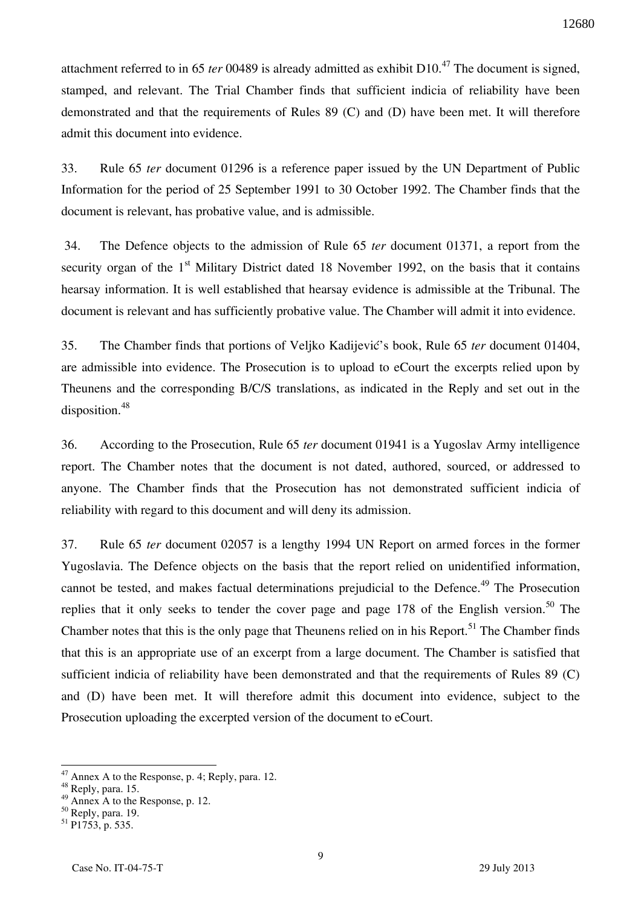attachment referred to in 65 *ter* 00489 is already admitted as exhibit D10.<sup>47</sup> The document is signed, stamped, and relevant. The Trial Chamber finds that sufficient indicia of reliability have been demonstrated and that the requirements of Rules 89 (C) and (D) have been met. It will therefore admit this document into evidence.

33. Rule 65 *ter* document 01296 is a reference paper issued by the UN Department of Public Information for the period of 25 September 1991 to 30 October 1992. The Chamber finds that the document is relevant, has probative value, and is admissible.

 34. The Defence objects to the admission of Rule 65 *ter* document 01371, a report from the security organ of the  $1<sup>st</sup>$  Military District dated 18 November 1992, on the basis that it contains hearsay information. It is well established that hearsay evidence is admissible at the Tribunal. The document is relevant and has sufficiently probative value. The Chamber will admit it into evidence.

35. The Chamber finds that portions of Veljko Kadijević's book, Rule 65 *ter* document 01404, are admissible into evidence. The Prosecution is to upload to eCourt the excerpts relied upon by Theunens and the corresponding B/C/S translations, as indicated in the Reply and set out in the disposition.<sup>48</sup>

36. According to the Prosecution, Rule 65 *ter* document 01941 is a Yugoslav Army intelligence report. The Chamber notes that the document is not dated, authored, sourced, or addressed to anyone. The Chamber finds that the Prosecution has not demonstrated sufficient indicia of reliability with regard to this document and will deny its admission.

37. Rule 65 *ter* document 02057 is a lengthy 1994 UN Report on armed forces in the former Yugoslavia. The Defence objects on the basis that the report relied on unidentified information, cannot be tested, and makes factual determinations prejudicial to the Defence.<sup>49</sup> The Prosecution replies that it only seeks to tender the cover page and page 178 of the English version.<sup>50</sup> The Chamber notes that this is the only page that Theunens relied on in his Report.<sup>51</sup> The Chamber finds that this is an appropriate use of an excerpt from a large document. The Chamber is satisfied that sufficient indicia of reliability have been demonstrated and that the requirements of Rules 89 (C) and (D) have been met. It will therefore admit this document into evidence, subject to the Prosecution uploading the excerpted version of the document to eCourt.

 $47$  Annex A to the Response, p. 4; Reply, para. 12.

<sup>&</sup>lt;sup>48</sup> Reply, para. 15.

 $^{49}$  Annex A to the Response, p. 12.

 $50$  Reply, para. 19.

<sup>51</sup> P1753, p. 535.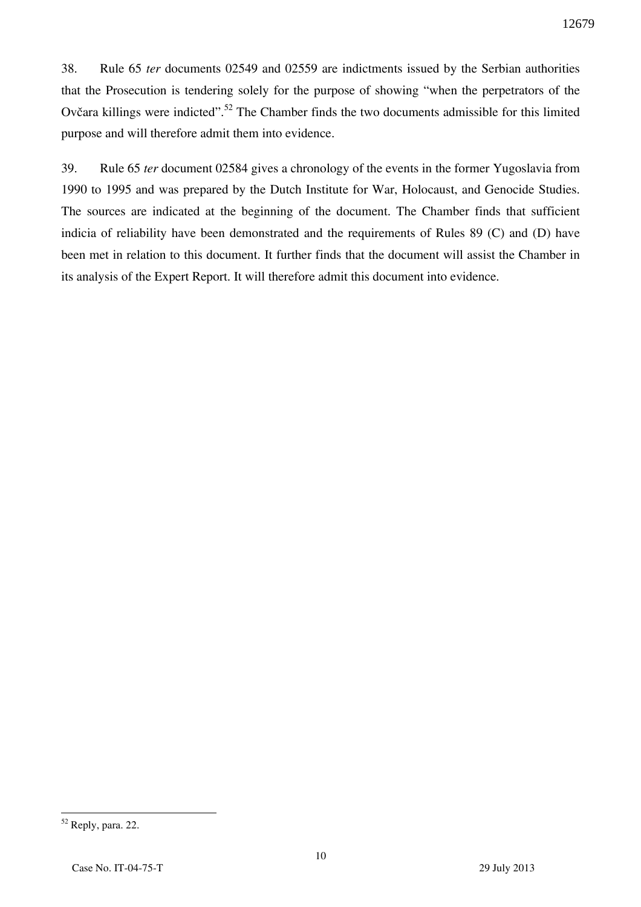38. Rule 65 *ter* documents 02549 and 02559 are indictments issued by the Serbian authorities that the Prosecution is tendering solely for the purpose of showing "when the perpetrators of the Ovčara killings were indicted".<sup>52</sup> The Chamber finds the two documents admissible for this limited purpose and will therefore admit them into evidence.

39. Rule 65 *ter* document 02584 gives a chronology of the events in the former Yugoslavia from 1990 to 1995 and was prepared by the Dutch Institute for War, Holocaust, and Genocide Studies. The sources are indicated at the beginning of the document. The Chamber finds that sufficient indicia of reliability have been demonstrated and the requirements of Rules 89 (C) and (D) have been met in relation to this document. It further finds that the document will assist the Chamber in its analysis of the Expert Report. It will therefore admit this document into evidence.

 $52$  Reply, para. 22.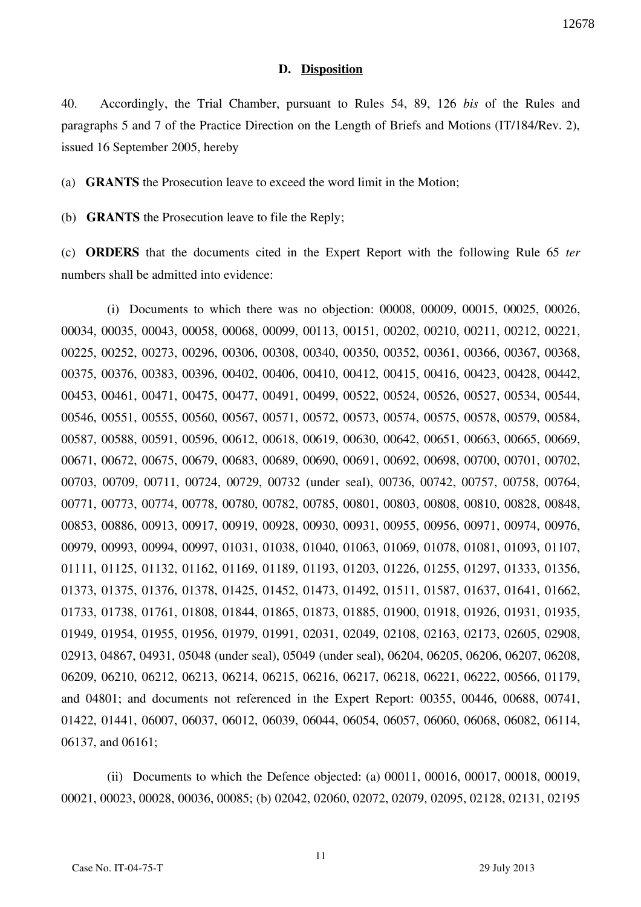#### **D. Disposition**

40. Accordingly, the Trial Chamber, pursuant to Rules 54, 89, 126 *bis* of the Rules and paragraphs 5 and 7 of the Practice Direction on the Length of Briefs and Motions (IT/184/Rev. 2), issued 16 September 2005, hereby

(a) **GRANTS** the Prosecution leave to exceed the word limit in the Motion;

(b) **GRANTS** the Prosecution leave to file the Reply;

(c) **ORDERS** that the documents cited in the Expert Report with the following Rule 65 *ter*  numbers shall be admitted into evidence:

(i) Documents to which there was no objection: 00008, 00009, 00015, 00025, 00026, 00034, 00035, 00043, 00058, 00068, 00099, 00113, 00151, 00202, 00210, 00211, 00212, 00221, 00225, 00252, 00273, 00296, 00306, 00308, 00340, 00350, 00352, 00361, 00366, 00367, 00368, 00375, 00376, 00383, 00396, 00402, 00406, 00410, 00412, 00415, 00416, 00423, 00428, 00442, 00453, 00461, 00471, 00475, 00477, 00491, 00499, 00522, 00524, 00526, 00527, 00534, 00544, 00546, 00551, 00555, 00560, 00567, 00571, 00572, 00573, 00574, 00575, 00578, 00579, 00584, 00587, 00588, 00591, 00596, 00612, 00618, 00619, 00630, 00642, 00651, 00663, 00665, 00669, 00671, 00672, 00675, 00679, 00683, 00689, 00690, 00691, 00692, 00698, 00700, 00701, 00702, 00703, 00709, 00711, 00724, 00729, 00732 (under seal), 00736, 00742, 00757, 00758, 00764, 00771, 00773, 00774, 00778, 00780, 00782, 00785, 00801, 00803, 00808, 00810, 00828, 00848, 00853, 00886, 00913, 00917, 00919, 00928, 00930, 00931, 00955, 00956, 00971, 00974, 00976, 00979, 00993, 00994, 00997, 01031, 01038, 01040, 01063, 01069, 01078, 01081, 01093, 01107, 01111, 01125, 01132, 01162, 01169, 01189, 01193, 01203, 01226, 01255, 01297, 01333, 01356, 01373, 01375, 01376, 01378, 01425, 01452, 01473, 01492, 01511, 01587, 01637, 01641, 01662, 01733, 01738, 01761, 01808, 01844, 01865, 01873, 01885, 01900, 01918, 01926, 01931, 01935, 01949, 01954, 01955, 01956, 01979, 01991, 02031, 02049, 02108, 02163, 02173, 02605, 02908, 02913, 04867, 04931, 05048 (under seal), 05049 (under seal), 06204, 06205, 06206, 06207, 06208, 06209, 06210, 06212, 06213, 06214, 06215, 06216, 06217, 06218, 06221, 06222, 00566, 01179, and 04801; and documents not referenced in the Expert Report: 00355, 00446, 00688, 00741, 01422, 01441, 06007, 06037, 06012, 06039, 06044, 06054, 06057, 06060, 06068, 06082, 06114, 06137, and 06161;

(ii) Documents to which the Defence objected: (a) 00011, 00016, 00017, 00018, 00019, 00021, 00023, 00028, 00036, 00085; (b) 02042, 02060, 02072, 02079, 02095, 02128, 02131, 02195

11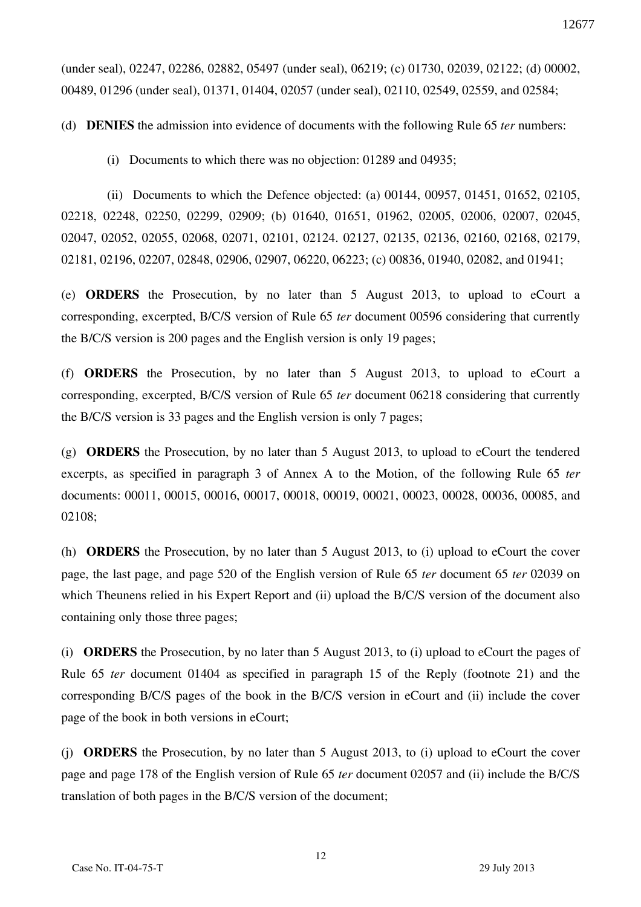(under seal), 02247, 02286, 02882, 05497 (under seal), 06219; (c) 01730, 02039, 02122; (d) 00002, 00489, 01296 (under seal), 01371, 01404, 02057 (under seal), 02110, 02549, 02559, and 02584;

(d) **DENIES** the admission into evidence of documents with the following Rule 65 *ter* numbers:

(i) Documents to which there was no objection: 01289 and 04935;

(ii) Documents to which the Defence objected: (a) 00144, 00957, 01451, 01652, 02105, 02218, 02248, 02250, 02299, 02909; (b) 01640, 01651, 01962, 02005, 02006, 02007, 02045, 02047, 02052, 02055, 02068, 02071, 02101, 02124. 02127, 02135, 02136, 02160, 02168, 02179, 02181, 02196, 02207, 02848, 02906, 02907, 06220, 06223; (c) 00836, 01940, 02082, and 01941;

(e) **ORDERS** the Prosecution, by no later than 5 August 2013, to upload to eCourt a corresponding, excerpted, B/C/S version of Rule 65 *ter* document 00596 considering that currently the B/C/S version is 200 pages and the English version is only 19 pages;

(f) **ORDERS** the Prosecution, by no later than 5 August 2013, to upload to eCourt a corresponding, excerpted, B/C/S version of Rule 65 *ter* document 06218 considering that currently the B/C/S version is 33 pages and the English version is only 7 pages;

(g) **ORDERS** the Prosecution, by no later than 5 August 2013, to upload to eCourt the tendered excerpts, as specified in paragraph 3 of Annex A to the Motion, of the following Rule 65 *ter*  documents: 00011, 00015, 00016, 00017, 00018, 00019, 00021, 00023, 00028, 00036, 00085, and 02108;

(h) **ORDERS** the Prosecution, by no later than 5 August 2013, to (i) upload to eCourt the cover page, the last page, and page 520 of the English version of Rule 65 *ter* document 65 *ter* 02039 on which Theunens relied in his Expert Report and (ii) upload the B/C/S version of the document also containing only those three pages;

(i) **ORDERS** the Prosecution, by no later than 5 August 2013, to (i) upload to eCourt the pages of Rule 65 *ter* document 01404 as specified in paragraph 15 of the Reply (footnote 21) and the corresponding B/C/S pages of the book in the B/C/S version in eCourt and (ii) include the cover page of the book in both versions in eCourt;

(j) **ORDERS** the Prosecution, by no later than 5 August 2013, to (i) upload to eCourt the cover page and page 178 of the English version of Rule 65 *ter* document 02057 and (ii) include the B/C/S translation of both pages in the B/C/S version of the document;